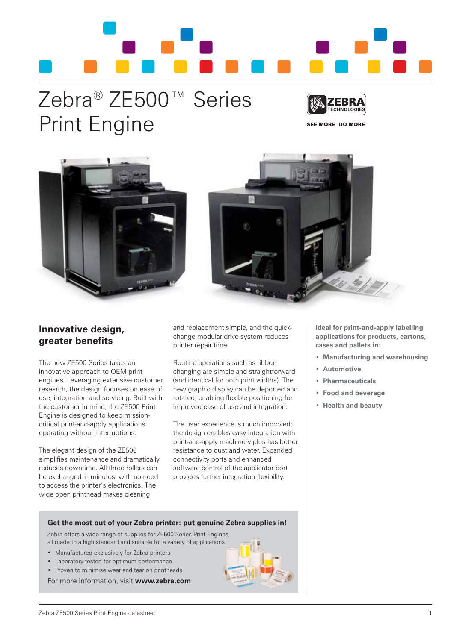

# Zebra® ZE500™ Series Print Engine



**SEE MORE. DO MORE.** 





### **Innovative design, greater benefits**

The new ZE500 Series takes an innovative approach to OEM print engines. Leveraging extensive customer research, the design focuses on ease of use, integration and servicing. Built with the customer in mind, the ZE500 Print Engine is designed to keep missioncritical print-and-apply applications operating without interruptions.

The elegant design of the ZE500 simplifies maintenance and dramatically reduces downtime. All three rollers can be exchanged in minutes, with no need to access the printer's electronics. The wide open printhead makes cleaning

and replacement simple, and the quickchange modular drive system reduces printer repair time.

Routine operations such as ribbon changing are simple and straightforward (and identical for both print widths). The new graphic display can be deported and rotated, enabling flexible positioning for improved ease of use and integration.

The user experience is much improved: the design enables easy integration with print-and-apply machinery plus has better resistance to dust and water. Expanded connectivity ports and enhanced software control of the applicator port provides further integration flexibility.

**Ideal for print-and-apply labelling applications for products, cartons, cases and pallets in:**

- • **Manufacturing and warehousing**
- • **Automotive**
- **Pharmaceuticals**
- • **Food and beverage**
- • **Health and beauty**

#### **Get the most out of your Zebra printer: put genuine Zebra supplies in!**

Zebra offers a wide range of supplies for ZE500 Series Print Engines, all made to a high standard and suitable for a variety of applications.

- • Manufactured exclusively for Zebra printers
- • Laboratory-tested for optimum performance
- Proven to minimise wear and tear on printheads

For more information, visit **www.zebra.com**